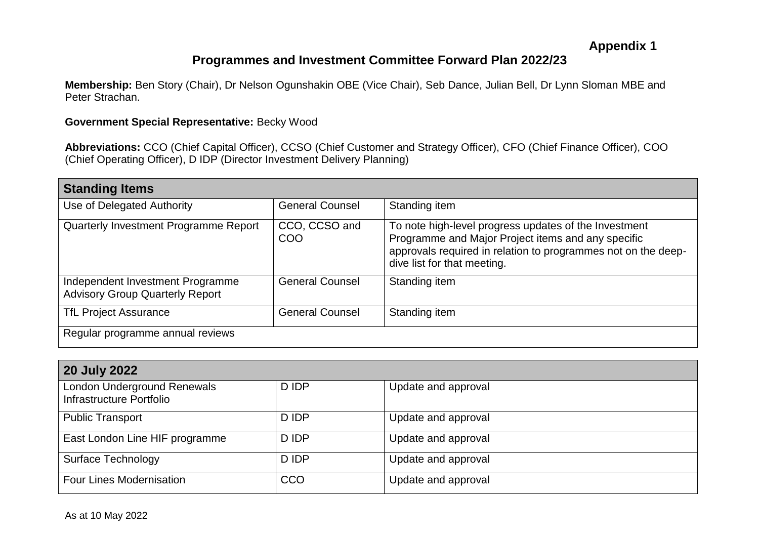## **Programmes and Investment Committee Forward Plan 2022/23**

**Membership:** Ben Story (Chair), Dr Nelson Ogunshakin OBE (Vice Chair), Seb Dance, Julian Bell, Dr Lynn Sloman MBE and Peter Strachan.

## **Government Special Representative:** Becky Wood

**Abbreviations:** CCO (Chief Capital Officer), CCSO (Chief Customer and Strategy Officer), CFO (Chief Finance Officer), COO (Chief Operating Officer), D IDP (Director Investment Delivery Planning)

| <b>Standing Items</b>                                                      |                        |                                                                                                                                                                                                             |  |  |
|----------------------------------------------------------------------------|------------------------|-------------------------------------------------------------------------------------------------------------------------------------------------------------------------------------------------------------|--|--|
| Use of Delegated Authority                                                 | <b>General Counsel</b> | Standing item                                                                                                                                                                                               |  |  |
| Quarterly Investment Programme Report                                      | CCO, CCSO and<br>COO   | To note high-level progress updates of the Investment<br>Programme and Major Project items and any specific<br>approvals required in relation to programmes not on the deep-<br>dive list for that meeting. |  |  |
| Independent Investment Programme<br><b>Advisory Group Quarterly Report</b> | <b>General Counsel</b> | Standing item                                                                                                                                                                                               |  |  |
| <b>TfL Project Assurance</b>                                               | <b>General Counsel</b> | Standing item                                                                                                                                                                                               |  |  |
| Regular programme annual reviews                                           |                        |                                                                                                                                                                                                             |  |  |

| <b>20 July 2022</b>                                     |       |                     |  |  |
|---------------------------------------------------------|-------|---------------------|--|--|
| London Underground Renewals<br>Infrastructure Portfolio | D IDP | Update and approval |  |  |
| <b>Public Transport</b>                                 | D IDP | Update and approval |  |  |
| East London Line HIF programme                          | D IDP | Update and approval |  |  |
| <b>Surface Technology</b>                               | D IDP | Update and approval |  |  |
| <b>Four Lines Modernisation</b>                         | CCO   | Update and approval |  |  |